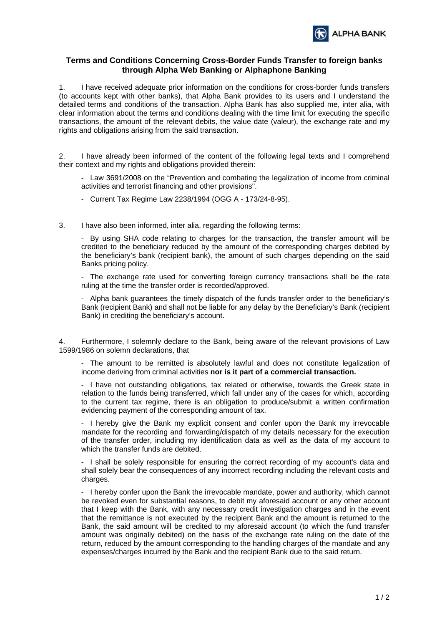

## **Terms and Conditions Concerning Cross-Border Funds Transfer to foreign banks through Alpha Web Banking or Alphaphone Banking**

1. I have received adequate prior information on the conditions for cross-border funds transfers (to accounts kept with other banks), that Alpha Bank provides to its users and I understand the detailed terms and conditions of the transaction. Alpha Bank has also supplied me, inter alia, with clear information about the terms and conditions dealing with the time limit for executing the specific transactions, the amount of the relevant debits, the value date (valeur), the exchange rate and my rights and obligations arising from the said transaction.

2. I have already been informed of the content of the following legal texts and I comprehend their context and my rights and obligations provided therein:

 - Law 3691/2008 on the "Prevention and combating the legalization of income from criminal activities and terrorist financing and other provisions".

- Current Tax Regime Law 2238/1994 (OGG A 173/24-8-95).
- 3. I have also been informed, inter alia, regarding the following terms:

 - By using SHA code relating to charges for the transaction, the transfer amount will be credited to the beneficiary reduced by the amount of the corresponding charges debited by the beneficiary's bank (recipient bank), the amount of such charges depending on the said Banks pricing policy.

 - The exchange rate used for converting foreign currency transactions shall be the rate ruling at the time the transfer order is recorded/approved.

 - Alpha bank guarantees the timely dispatch of the funds transfer order to the beneficiary's Bank (recipient Bank) and shall not be liable for any delay by the Beneficiary's Bank (recipient Bank) in crediting the beneficiary's account.

4. Furthermore, I solemnly declare to the Bank, being aware of the relevant provisions of Law 1599/1986 on solemn declarations, that

 - The amount to be remitted is absolutely lawful and does not constitute legalization of income deriving from criminal activities **nor is it part of a commercial transaction.** 

 - I have not outstanding obligations, tax related or otherwise, towards the Greek state in relation to the funds being transferred, which fall under any of the cases for which, according to the current tax regime, there is an obligation to produce/submit a written confirmation evidencing payment of the corresponding amount of tax.

 - I hereby give the Bank my explicit consent and confer upon the Bank my irrevocable mandate for the recording and forwarding/dispatch of my details necessary for the execution of the transfer order, including my identification data as well as the data of my account to which the transfer funds are debited.

 - I shall be solely responsible for ensuring the correct recording of my account's data and shall solely bear the consequences of any incorrect recording including the relevant costs and charges.

 - I hereby confer upon the Bank the irrevocable mandate, power and authority, which cannot be revoked even for substantial reasons, to debit my aforesaid account or any other account that I keep with the Bank, with any necessary credit investigation charges and in the event that the remittance is not executed by the recipient Bank and the amount is returned to the Bank, the said amount will be credited to my aforesaid account (to which the fund transfer amount was originally debited) on the basis of the exchange rate ruling on the date of the return, reduced by the amount corresponding to the handling charges of the mandate and any expenses/charges incurred by the Bank and the recipient Bank due to the said return.